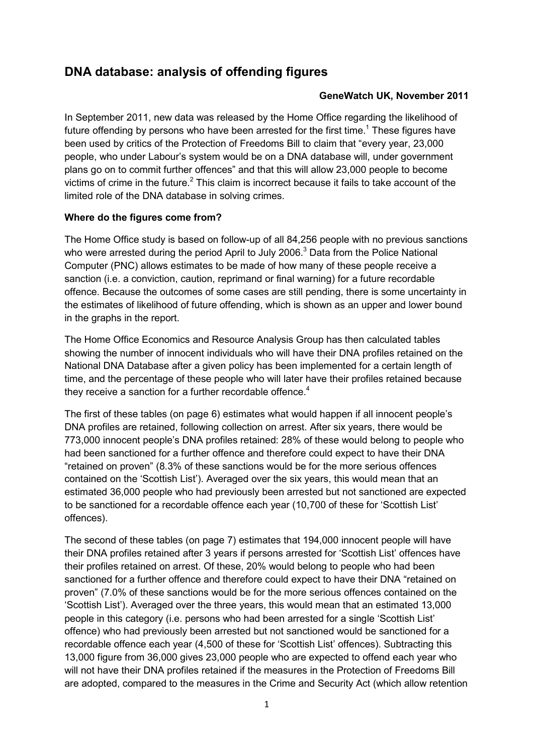# <span id="page-0-0"></span>**DNA database: analysis of offending figures**

#### **GeneWatch UK, November 2011**

In September 2011, new data was released by the Home Office regarding the likelihood of future offending by persons who have been arrested for the first time.<sup>[1](#page-3-0)</sup> These figures have been used by critics of the Protection of Freedoms Bill to claim that "every year, 23,000 people, who under Labour's system would be on a DNA database will, under government plans go on to commit further offences" and that this will allow 23,000 people to become victims of crime in the future.<sup>[2](#page-3-0)</sup> This claim is incorrect because it fails to take account of the limited role of the DNA database in solving crimes.

## **[Where do the figures come from?](http://www.forensic.gov.uk/forensic/news/press_releases/2003/NDNAD_Annual_Report_02-03.pdf)**

The Home Office study is based on follow-up of all 84,256 people with no previous sanctions who were arrested during the period April to July 2006. $3$  Data from the Police National Computer (PNC) allows estimates to be made of how many of these people receive a sanction (i.e. a conviction, caution, reprimand or final warning) for a future recordable offence. Because the outcomes of some cases are still pending, there is some uncertainty in the estimates of likelihood of future offending, which is shown as an upper and lower bound in the graphs in the report.

The Home Office Economics and Resource Analysis Group has then calculated tables showing the number of innocent individuals who will have their DNA profiles retained on the National DNA Database after a given policy has been implemented for a certain length of time, and the percentage of these people who will later have their profiles retained because they receive a sanction for a further recordable offence.<sup>[4](#page-3-0)</sup>

The first of these tables (on page 6) estimates what would happen if all innocent people's DNA profiles are retained, following collection on arrest. After six years, there would be 773,000 innocent people's DNA profiles retained: 28% of these would belong to people who had been sanctioned for a further offence and therefore could expect to have their DNA "retained on proven" (8.3% of these sanctions would be for the more serious offences contained on the 'Scottish List'). Averaged over the six years, this would mean that an estimated 36,000 people who had previously been arrested but not sanctioned are expected to be sanctioned for a recordable offence each year (10,700 of these for 'Scottish List' offences).

The second of these tables (on page 7) estimates that 194,000 innocent people will have their DNA profiles retained after 3 years if persons arrested for 'Scottish List' offences have their profiles retained on arrest. Of these, 20% would belong to people who had been sanctioned for a further offence and therefore could expect to have their DNA "retained on proven" (7.0% of these sanctions would be for the more serious offences contained on the 'Scottish List'). Averaged over the three years, this would mean that an estimated 13,000 people in this category (i.e. persons who had been arrested for a single 'Scottish List' offence) who had previously been arrested but not sanctioned would be sanctioned for a recordable offence each year (4,500 of these for 'Scottish List' offences). Subtracting this 13,000 figure from 36,000 gives 23,000 people who are expected to offend each year who will not have their DNA profiles retained if the measures in the Protection of Freedoms Bill are adopted, compared to the measures in the Crime and Security Act (which allow retention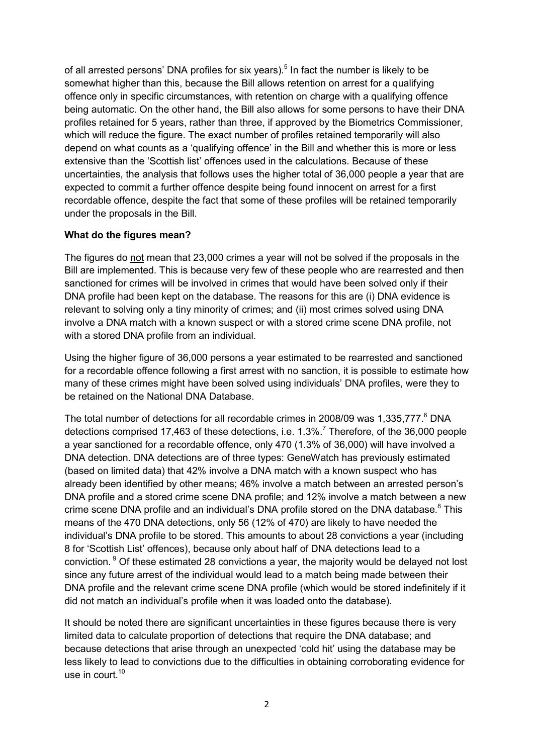of all arrested persons' DNA profiles for six years).<sup>[5](#page-0-0)</sup> In fact the number is likely to be somewhat higher than this, because the Bill allows retention on arrest for a qualifying offence only in specific circumstances, with retention on charge with a qualifying offence being automatic. On the other hand, the Bill also allows for some persons to have their DNA profiles retained for 5 years, rather than three, if approved by the Biometrics Commissioner, which will reduce the figure. The exact number of profiles retained temporarily will also depend on what counts as a 'qualifying offence' in the Bill and whether this is more or less extensive than the 'Scottish list' offences used in the calculations. Because of these uncertainties, the analysis that follows uses the higher total of 36,000 people a year that are expected to commit a further offence despite being found innocent on arrest for a first recordable offence, despite the fact that some of these profiles will be retained temporarily under the proposals in the Bill.

## **What do the figures mean?**

The figures do not mean that 23,000 crimes a year will not be solved if the proposals in the Bill are implemented. This is because very few of these people who are rearrested and then sanctioned for crimes will be involved in crimes that would have been solved only if their DNA profile had been kept on the database. The reasons for this are (i) DNA evidence is relevant to solving only a tiny minority of crimes; and (ii) most crimes solved using DNA involve a DNA match with a known suspect or with a stored crime scene DNA profile, not with a stored DNA profile from an individual.

Using the higher figure of 36,000 persons a year estimated to be rearrested and sanctioned for a recordable offence following a first arrest with no sanction, it is possible to estimate how many of these crimes might have been solved using individuals' DNA profiles, were they to be retained on the National DNA Database.

The total number of detections for all recordable crimes in 2008/09 was 1,335,777.<sup>[6](#page-0-0)</sup> DNA detections comprised 1[7](#page-0-0),463 of these detections, i.e. 1.3%.<sup>7</sup> Therefore, of the 36,000 people a year sanctioned for a recordable offence, only 470 (1.3% of 36,000) will have involved a DNA detection. DNA detections are of three types: GeneWatch has previously estimated (based on limited data) that 42% involve a DNA match with a known suspect who has already been identified by other means; 46% involve a match between an arrested person's DNA profile and a stored crime scene DNA profile; and 12% involve a match between a new crime scene DNA profile and an individual's DNA profile stored on the DNA database.<sup>[8](#page-0-0)</sup> This means of the 470 DNA detections, only 56 (12% of 470) are likely to have needed the individual's DNA profile to be stored. This amounts to about 28 convictions a year (including 8 for 'Scottish List' offences), because only about half of DNA detections lead to a conviction. [9](#page-0-0) Of these estimated 28 convictions a year, the majority would be delayed not lost since any future arrest of the individual would lead to a match being made between their DNA profile and the relevant crime scene DNA profile (which would be stored indefinitely if it did not match an individual's profile when it was loaded onto the database).

It should be noted there are significant uncertainties in these figures because there is very limited data to calculate proportion of detections that require the DNA database; and because detections that arise through an unexpected 'cold hit' using the database may be less likely to lead to convictions due to the difficulties in obtaining corroborating evidence for use in court.<sup>[10](#page-0-0)</sup>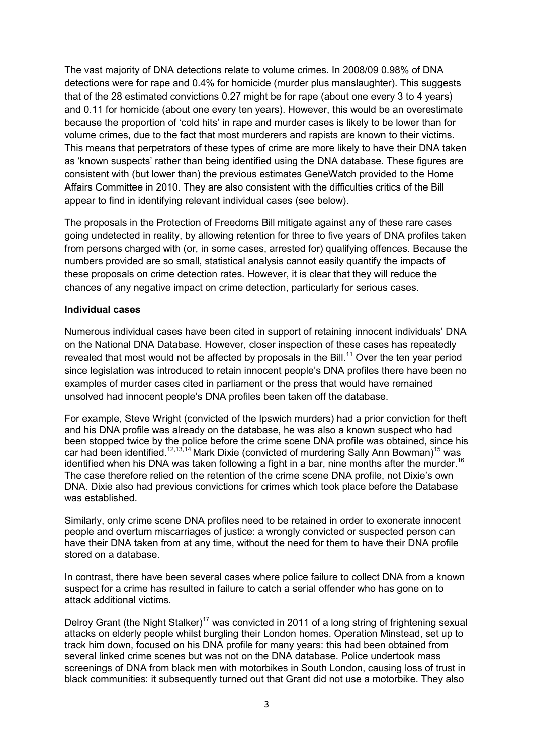The vast majority of DNA detections relate to volume crimes. In 2008/09 0.98% of DNA detections were for rape and 0.4% for homicide (murder plus manslaughter). This suggests that of the 28 estimated convictions 0.27 might be for rape (about one every 3 to 4 years) and 0.11 for homicide (about one every ten years). However, this would be an overestimate because the proportion of 'cold hits' in rape and murder cases is likely to be lower than for volume crimes, due to the fact that most murderers and rapists are known to their victims. This means that perpetrators of these types of crime are more likely to have their DNA taken as 'known suspects' rather than being identified using the DNA database. These figures are consistent with (but lower than) the previous estimates GeneWatch provided to the Home Affairs Committee in 2010. They are also consistent with the difficulties critics of the Bill appear to find in identifying relevant individual cases (see below).

The proposals in the Protection of Freedoms Bill mitigate against any of these rare cases going undetected in reality, by allowing retention for three to five years of DNA profiles taken from persons charged with (or, in some cases, arrested for) qualifying offences. Because the numbers provided are so small, statistical analysis cannot easily quantify the impacts of these proposals on crime detection rates. However, it is clear that they will reduce the chances of any negative impact on crime detection, particularly for serious cases.

#### **Individual cases**

Numerous individual cases have been cited in support of retaining innocent individuals' DNA on the National DNA Database. However, closer inspection of these cases has repeatedly revealed that most would not be affected by proposals in the Bill.<sup>[11](#page-0-0)</sup> Over the ten year period since legislation was introduced to retain innocent people's DNA profiles there have been no examples of murder cases cited in parliament or the press that would have remained unsolved had innocent people's DNA profiles been taken off the database.

For example, Steve Wright (convicted of the Ipswich murders) had a prior conviction for theft and his DNA profile was already on the database, he was also a known suspect who had been stopped twice by the police before the crime scene DNA profile was obtained, since his car had been identified.<sup>[12](#page-0-0),13,14</sup> Mark Dixie (convicted of murdering Sally Ann Bowman)<sup>[15](#page-0-0)</sup> was identified when his DNA was taken following a fight in a bar, nine months after the murder.<sup>[16](#page-0-0)</sup> The case therefore relied on the retention of the crime scene DNA profile, not Dixie's own DNA. Dixie also had previous convictions for crimes which took place before the Database was established.

Similarly, only crime scene DNA profiles need to be retained in order to exonerate innocent people and overturn miscarriages of justice: a wrongly convicted or suspected person can have their DNA taken from at any time, without the need for them to have their DNA profile stored on a database.

In contrast, there have been several cases where police failure to collect DNA from a known suspect for a crime has resulted in failure to catch a serial offender who has gone on to attack additional victims.

Delroy Grant (the Night Stalker)<sup>[17](#page-0-0)</sup> was convicted in 2011 of a long string of frightening sexual attacks on elderly people whilst burgling their London homes. Operation Minstead, set up to track him down, focused on his DNA profile for many years: this had been obtained from several linked crime scenes but was not on the DNA database. Police undertook mass screenings of DNA from black men with motorbikes in South London, causing loss of trust in black communities: it subsequently turned out that Grant did not use a motorbike. They also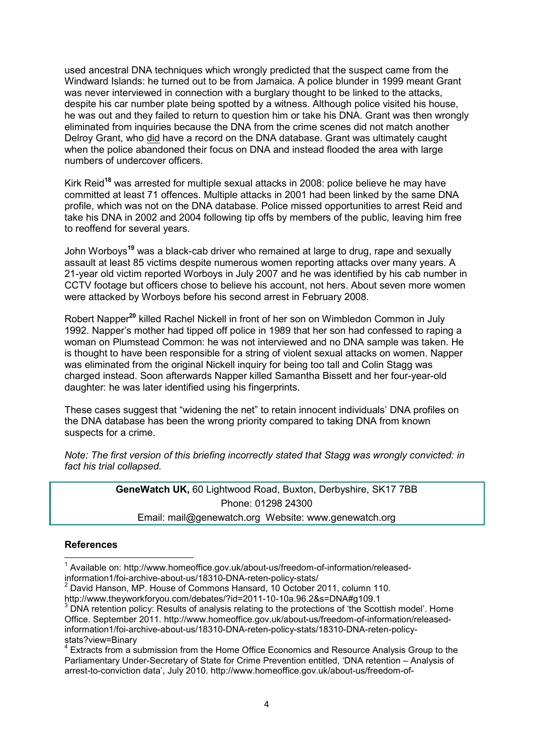<span id="page-3-0"></span>used ancestral DNA techniques which wrongly predicted that the suspect came from the Windward Islands: he turned out to be from Jamaica. A police blunder in 1999 meant Grant was never interviewed in connection with a burglary thought to be linked to the attacks, despite his car number plate being spotted by a witness. Although police visited his house, he was out and they failed to return to question him or take his DNA. Grant was then wrongly eliminated from inquiries because the DNA from the crime scenes did not match another Delroy Grant, who did have a record on the DNA database. Grant was ultimately caught when the police abandoned their focus on DNA and instead flooded the area with large numbers of undercover officers.

Kirk Reid**[18](#page-0-0)** was arrested for multiple sexual attacks in 2008: police believe he may have committed at least 71 offences. Multiple attacks in 2001 had been linked by the same DNA profile, which was not on the DNA database. Police missed opportunities to arrest Reid and take his DNA in 2002 and 2004 following tip offs by members of the public, leaving him free to reoffend for several years.

John Worboys**[19](#page-0-0)** was a black-cab driver who remained at large to drug, rape and sexually assault at least 85 victims despite numerous women reporting attacks over many years. A 21-year old victim reported Worboys in July 2007 and he was identified by his cab number in CCTV footage but officers chose to believe his account, not hers. About seven more women were attacked by Worboys before his second arrest in February 2008.

Robert Napper**[20](#page-0-0)** killed Rachel Nickell in front of her son on Wimbledon Common in July 1992. Napper's mother had tipped off police in 1989 that her son had confessed to raping a woman on Plumstead Common: he was not interviewed and no DNA sample was taken. He is thought to have been responsible for a string of violent sexual attacks on women. Napper was eliminated from the original Nickell inquiry for being too tall and Colin Stagg was charged instead. Soon afterwards Napper killed Samantha Bissett and her four-year-old daughter: he was later identified using his fingerprints.

These cases suggest that "widening the net" to retain innocent individuals' DNA profiles on the DNA database has been the wrong priority compared to taking DNA from known suspects for a crime.

*Note: The first version of this briefing incorrectly stated that Stagg was wrongly convicted: in fact his trial collapsed.* 

> **GeneWatch UK,** 60 Lightwood Road, Buxton, Derbyshire, SK17 7BB Phone: 01298 24300 Email: mail@genewatch.org Website: www.genewatch.org

#### **References**   $\overline{a}$

<sup>&</sup>lt;sup>1</sup> Available on: http://www.homeoffice.gov.uk/about-us/freedom-of-information/released-

information1/foi-archive-about-us/18310-DNA-reten-policy-stats/ 2

David Hanson, MP. House of Commons Hansard, 10 October 2011, column 110.

http://www.theyworkforyou.com/debates/?id=2011-10-10a.96.2&s=DNA#g109.1

 $3$  DNA retention policy: Results of analysis relating to the protections of 'the Scottish model'. Home Office. September 2011. http://www.homeoffice.gov.uk/about-us/freedom-of-information/releasedinformation1/foi-archive-about-us/18310-DNA-reten-policy-stats/18310-DNA-reten-policystats?view=Binary<br><sup>4</sup> Extracte from a au

Extracts from a submission from the Home Office Economics and Resource Analysis Group to the Parliamentary Under-Secretary of State for Crime Prevention entitled, 'DNA retention – Analysis of arrest-to-conviction data', July 2010. http://www.homeoffice.gov.uk/about-us/freedom-of-